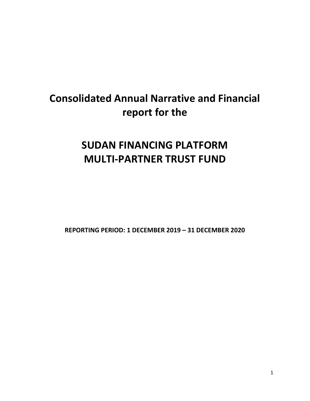# **Consolidated Annual Narrative and Financial report for the**

# **SUDAN FINANCING PLATFORM MULTI‐PARTNER TRUST FUND**

**REPORTING PERIOD: 1 DECEMBER 2019 – 31 DECEMBER 2020**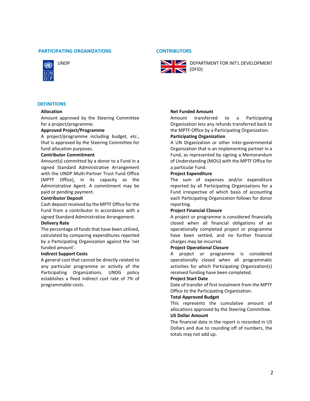## **PARTICIPATING ORGANIZATIONS CONTRIBUTORS**



# **DEFINITIONS**

#### **Allocation**

Amount approved by the Steering Committee for a project/programme.

#### **Approved Project/Programme**

A project/programme including budget, etc., that is approved by the Steering Committee for fund allocation purposes.

#### **Contributor Commitment**

Amount(s) committed by a donor to a Fund in a signed Standard Administrative Arrangement with the UNDP Multi‐Partner Trust Fund Office (MPTF Office), in its capacity as the Administrative Agent. A commitment may be paid or pending payment.

#### **Contributor Deposit**

Cash deposit received by the MPTF Office for the Fund from a contributor in accordance with a signed Standard Administrative Arrangement.

#### **Delivery Rate**

The percentage of funds that have been utilized, calculated by comparing expenditures reported by a Participating Organization against the 'net funded amount'.

#### **Indirect Support Costs**

A general cost that cannot be directly related to any particular programme or activity of the Participating Organizations. UNDG policy establishes a fixed indirect cost rate of 7% of programmable costs.



UNDP UNDP **DEPARTMENT FOR INT'L DEVELOPMENT IN** (DFID)

## **Net Funded Amount**

Amount transferred to a Participating Organization less any refunds transferred back to the MPTF Office by a Participating Organization.

#### **Participating Organization**

A UN Organization or other inter‐governmental Organization that is an implementing partner in a Fund, as represented by signing a Memorandum of Understanding (MOU) with the MPTF Office for a particular Fund.

#### **Project Expenditure**

The sum of expenses and/or expenditure reported by all Participating Organizations for a Fund irrespective of which basis of accounting each Participating Organization follows for donor reporting.

#### **Project Financial Closure**

A project or programme is considered financially closed when all financial obligations of an operationally completed project or programme have been settled, and no further financial charges may be incurred.

## **Project Operational Closure**

A project or programme is considered operationally closed when all programmatic activities for which Participating Organization(s) received funding have been completed.

#### **Project Start Date**

Date of transfer of first instalment from the MPTF Office to the Participating Organization.

#### **Total Approved Budget**

This represents the cumulative amount of allocations approved by the Steering Committee.

# **US Dollar Amount**

The financial data in the report is recorded in US Dollars and due to rounding off of numbers, the totals may not add up.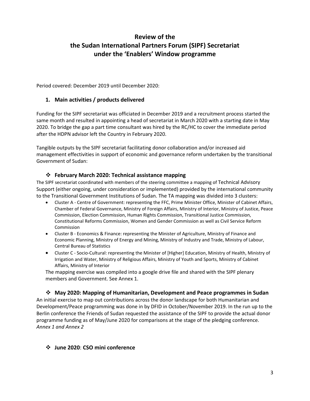# **Review of the the Sudan International Partners Forum (SIPF) Secretariat under the 'Enablers' Window programme**

Period covered: December 2019 until December 2020:

# **1. Main activities / products delivered**

Funding for the SIPF secretariat was officiated in December 2019 and a recruitment process started the same month and resulted in appointing a head of secretariat in March 2020 with a starting date in May 2020. To bridge the gap a part time consultant was hired by the RC/HC to cover the immediate period after the HDPN advisor left the Country in February 2020.

Tangible outputs by the SIPF secretariat facilitating donor collaboration and/or increased aid management effectivities in support of economic and governance reform undertaken by the transitional Government of Sudan:

# **February March 2020: Technical assistance mapping**

The SIPF secretariat coordinated with members of the steering committee a mapping of Technical Advisory Support (either ongoing, under consideration or implemented) provided by the international community to the Transitional Government Institutions of Sudan. The TA mapping was divided into 3 clusters:

- Cluster A ‐ Centre of Government: representing the FFC, Prime Minister Office, Minister of Cabinet Affairs, Chamber of Federal Governance, Ministry of Foreign Affairs, Ministry of Interior, Ministry of Justice, Peace Commission, Election Commission, Human Rights Commission, Transitional Justice Commission, Constitutional Reforms Commission, Women and Gender Commission as well as Civil Service Reform Commission
- Cluster B ‐ Economics & Finance: representing the Minister of Agriculture, Ministry of Finance and Economic Planning, Ministry of Energy and Mining, Ministry of Industry and Trade, Ministry of Labour, Central Bureau of Statistics
- Cluster C ‐ Socio‐Cultural: representing the Minister of [Higher] Education, Ministry of Health, Ministry of Irrigation and Water, Ministry of Religious Affairs, Ministry of Youth and Sports, Ministry of Cabinet Affairs, Ministry of Interior

The mapping exercise was compiled into a google drive file and shared with the SIPF plenary members and Government. See Annex 1.

 **May 2020: Mapping of Humanitarian, Development and Peace programmes in Sudan** An initial exercise to map out contributions across the donor landscape for both Humanitarian and Development/Peace programming was done in by DFID in October/November 2019. In the run up to the Berlin conference the Friends of Sudan requested the assistance of the SIPF to provide the actual donor programme funding as of May/June 2020 for comparisons at the stage of the pledging conference. *Annex 1 and Annex 2*

# **June 2020**: **CSO mini conference**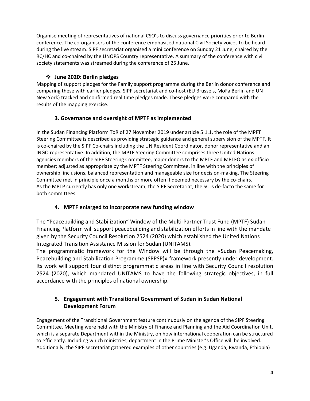Organise meeting of representatives of national CSO's to discuss governance priorities prior to Berlin conference. The co‐organisers of the conference emphasised national Civil Society voices to be heard during the live stream. SIPF secretariat organised a mini conference on Sunday 21 June, chaired by the RC/HC and co-chaired by the UNOPS Country representative. A summary of the conference with civil society statements was streamed during the conference of 25 June.

# **June 2020: Berlin pledges**

Mapping of support pledges for the Family support programme during the Berlin donor conference and comparing these with earlier pledges. SIPF secretariat and co-host (EU Brussels, MoFa Berlin and UN New York) tracked and confirmed real time pledges made. These pledges were compared with the results of the mapping exercise.

# **3. Governance and oversight of MPTF as implemented**

In the Sudan Financing Platform ToR of 27 November 2019 under article 5.1.1, the role of the MPFT Steering Committee is described as providing strategic guidance and general supervision of the MPTF. It is co-chaired by the SIPF Co-chairs including the UN Resident Coordinator, donor representative and an INGO representative. In addition, the MPTF Steering Committee comprises three United Nations agencies members of the SIPF Steering Committee, major donors to the MPTF and MPTFO as ex‐officio member; adjusted as appropriate by the MPTF Steering Committee, in line with the principles of ownership, inclusions, balanced representation and manageable size for decision‐making. The Steering Committee met in principle once a months or more often if deemed necessary by the co‐chairs. As the MPTP currently has only one workstream; the SIPF Secretariat, the SC is de‐facto the same for both committees.

# **4. MPTF enlarged to incorporate new funding window**

The "Peacebuilding and Stabilization" Window of the Multi‐Partner Trust Fund (MPTF) Sudan Financing Platform will support peacebuilding and stabilization efforts in line with the mandate given by the Security Council Resolution 2524 (2020) which established the United Nations Integrated Transition Assistance Mission for Sudan (UNITAMS).

The programmatic framework for the Window will be through the «Sudan Peacemaking, Peacebuilding and Stabilization Programme (SPPSP)» framework presently under development. Its work will support four distinct programmatic areas in line with Security Council resolution 2524 (2020), which mandated UNITAMS to have the following strategic objectives, in full accordance with the principles of national ownership.

# **5. Engagement with Transitional Government of Sudan in Sudan National Development Forum**

Engagement of the Transitional Government feature continuously on the agenda of the SIPF Steering Committee. Meeting were held with the Ministry of Finance and Planning and the Aid Coordination Unit, which is a separate Department within the Ministry, on how international cooperation can be structured to efficiently. Including which ministries, department in the Prime Minister's Office will be involved. Additionally, the SIPF secretariat gathered examples of other countries (e.g. Uganda, Rwanda, Ethiopia)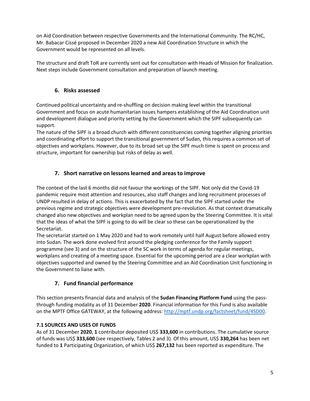on Aid Coordination between respective Governments and the International Community. The RC/HC, Mr. Babacar Cissé proposed in December 2020 a new Aid Coordination Structure in which the Government would be represented on all levels.

The structure and draft ToR are currently sent out for consultation with Heads of Mission for finalization. Next steps include Government consultation and preparation of launch meeting.

# **6. Risks assessed**

Continued political uncertainty and re‐shuffling on decision making level within the transitional Government and focus on acute humanitarian issues hampers establishing of the Aid Coordination unit and development dialogue and priority setting by the Government which the SIPF subsequently can support.

The nature of the SIPF is a broad church with different constituencies coming together aligning priorities and coordinating effort to support the transitional government of Sudan, this requires a common set of objectives and workplans. However, due to its broad set up the SIPF much time is spent on process and structure, important for ownership but risks of delay as well.

# **7. Short narrative on lessons learned and areas to improve**

The context of the last 6 months did not favour the workings of the SIPF. Not only did the Covid‐19 pandemic require most attention and resources, also staff changes and long recruitment processes of UNDP resulted in delay of actions. This is exacerbated by the fact that the SIPF started under the previous regime and strategic objectives were development pre‐revolution. As that context dramatically changed also new objectives and workplan need to be agreed upon by the Steering Committee. It is vital that the ideas of what the SIPF is going to do will be clear so these can be operationalized by the Secretariat.

The secretariat started on 1 May 2020 and had to work remotely until half August before allowed entry into Sudan. The work done evolved first around the pledging conference for the Family support programme (see 3) and on the structure of the SC work in terms of agenda for regular meetings, workplans and creating of a meeting space. Essential for the upcoming period are a clear workplan with objectives supported and owned by the Steering Committee and an Aid Coordination Unit functioning in the Government to liaise with.

# **7. Fund financial performance**

This section presents financial data and analysis of the **Sudan Financing Platform Fund** using the pass‐ through funding modality as of 31 December **2020**. Financial information for this Fund is also available on the MPTF Office GATEWAY, at the following address: http://mptf.undp.org/factsheet/fund/4SD00.

# **7.1 SOURCES AND USES OF FUNDS**

As of 31 December **2020**, **1** contributor deposited US\$ **333,600** in contributions. The cumulative source of funds was US\$ **333,600** (see respectively, Tables 2 and 3). Of this amount, US\$ **330,264** has been net funded to **1** Participating Organization, of which US\$ **267,132** has been reported as expenditure. The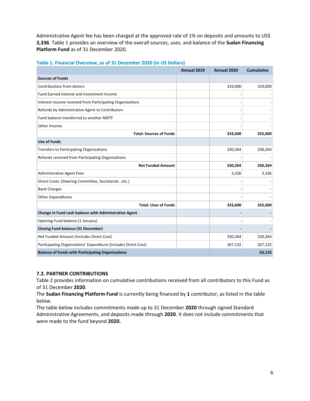Administrative Agent fee has been charged at the approved rate of 1% on deposits and amounts to US\$ **3,336**. Table 1 provides an overview of the overall sources, uses, and balance of the **Sudan Financing Platform Fund** as of 31 December 2020.

|                                                                 | Annual 2019 | Annual 2020 | <b>Cumulative</b> |
|-----------------------------------------------------------------|-------------|-------------|-------------------|
| <b>Sources of Funds</b>                                         |             |             |                   |
| Contributions from donors                                       |             | 333,600     | 333,600           |
| Fund Earned Interest and Investment Income                      |             |             |                   |
| Interest Income received from Participating Organizations       |             |             |                   |
| Refunds by Administrative Agent to Contributors                 |             |             |                   |
| Fund balance transferred to another MDTF                        |             |             |                   |
| Other Income                                                    |             |             |                   |
| <b>Total: Sources of Funds</b>                                  |             | 333,600     | 333,600           |
| <b>Use of Funds</b>                                             |             |             |                   |
| Transfers to Participating Organizations                        |             | 330,264     | 330,264           |
| Refunds received from Participating Organizations               |             |             |                   |
| <b>Net Funded Amount</b>                                        |             | 330,264     | 330,264           |
| <b>Administrative Agent Fees</b>                                |             | 3,336       | 3,336             |
| Direct Costs: (Steering Committee, Secretariatetc.)             |             |             |                   |
| <b>Bank Charges</b>                                             |             |             |                   |
| <b>Other Expenditures</b>                                       |             |             |                   |
| <b>Total: Uses of Funds</b>                                     |             | 333,600     | 333,600           |
| Change in Fund cash balance with Administrative Agent           |             |             |                   |
| Opening Fund balance (1 January)                                |             |             |                   |
| <b>Closing Fund balance (31 December)</b>                       |             |             |                   |
| Net Funded Amount (Includes Direct Cost)                        |             | 330,264     | 330,264           |
| Participating Organizations' Expenditure (Includes Direct Cost) |             | 267,132     | 267,132           |
| <b>Balance of Funds with Participating Organizations</b>        |             |             | 63,132            |

# **Table 1. Financial Overview, as of 31 December 2020 (in US Dollars)**

# **7.2. PARTNER CONTRIBUTIONS**

Table 2 provides information on cumulative contributions received from all contributors to this Fund as of 31 December **2020**.

The **Sudan Financing Platform Fund** is currently being financed by **1** contributor, as listed in the table below.

The table below includes commitments made up to 31 December **2020** through signed Standard Administrative Agreements, and deposits made through **2020**. It does not include commitments that were made to the fund beyond **2020.**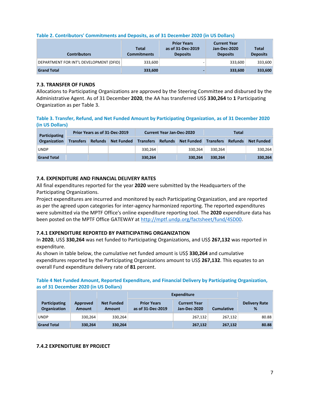| <b>Contributors</b>                     | <b>Total</b><br><b>Commitments</b> | <b>Prior Years</b><br>as of 31-Dec-2019<br><b>Deposits</b> | <b>Current Year</b><br>Jan-Dec-2020<br><b>Deposits</b> | <b>Total</b><br><b>Deposits</b> |
|-----------------------------------------|------------------------------------|------------------------------------------------------------|--------------------------------------------------------|---------------------------------|
| DEPARTMENT FOR INT'L DEVELOPMENT (DFID) | 333,600                            |                                                            | 333.600                                                | 333,600                         |
| <b>Grand Total</b>                      | 333,600                            |                                                            | 333.600                                                | 333,600                         |

# **7.3. TRANSFER OF FUNDS**

Allocations to Participating Organizations are approved by the Steering Committee and disbursed by the Administrative Agent. As of 31 December **2020**, the AA has transferred US\$ **330,264** to **1** Participating Organization as per Table 3.

# **Table 3. Transfer, Refund, and Net Funded Amount by Participating Organization, as of 31 December 2020 (in US Dollars)**

| Participating       | Prior Years as of 31-Dec-2019 |                |                   | <b>Current Year Jan-Dec-2020</b> |                |                   | Total            |                |                   |
|---------------------|-------------------------------|----------------|-------------------|----------------------------------|----------------|-------------------|------------------|----------------|-------------------|
| <b>Organization</b> | <b>Transfers</b>              | <b>Refunds</b> | <b>Net Funded</b> | <b>Transfers</b>                 | <b>Refunds</b> | <b>Net Funded</b> | <b>Transfers</b> | <b>Refunds</b> | <b>Net Funded</b> |
| <b>UNDP</b>         |                               |                |                   | 330.264                          |                | 330.264           | 330.264          |                | 330,264           |
| <b>Grand Total</b>  |                               |                |                   | 330,264                          |                | 330.264           | 330.264          |                | 330,264           |

# **7.4. EXPENDITURE AND FINANCIAL DELIVERY RATES**

All final expenditures reported for the year **2020** were submitted by the Headquarters of the Participating Organizations.

Project expenditures are incurred and monitored by each Participating Organization, and are reported as per the agreed upon categories for inter‐agency harmonized reporting. The reported expenditures were submitted via the MPTF Office's online expenditure reporting tool. The **2020** expenditure data has been posted on the MPTF Office GATEWAY at http://mptf.undp.org/factsheet/fund/4SD00.

# **7.4.1 EXPENDITURE REPORTED BY PARTICIPATING ORGANIZATION**

In **2020**, US\$ **330,264** was net funded to Participating Organizations, and US\$ **267,132** was reported in expenditure.

As shown in table below, the cumulative net funded amount is US\$ **330,264** and cumulative expenditures reported by the Participating Organizations amount to US\$ **267,132**. This equates to an overall Fund expenditure delivery rate of **81** percent.

# **Table 4 Net Funded Amount, Reported Expenditure, and Financial Delivery by Participating Organization, as of 31 December 2020 (in US Dollars)**

|                                      |                           |                                    | <b>Expenditure</b>                      |                                     |                   |                           |
|--------------------------------------|---------------------------|------------------------------------|-----------------------------------------|-------------------------------------|-------------------|---------------------------|
| <b>Participating</b><br>Organization | Approved<br><b>Amount</b> | <b>Net Funded</b><br><b>Amount</b> | <b>Prior Years</b><br>as of 31-Dec-2019 | <b>Current Year</b><br>Jan-Dec-2020 | <b>Cumulative</b> | <b>Delivery Rate</b><br>% |
| <b>UNDP</b>                          | 330,264                   | 330,264                            |                                         | 267,132                             | 267.132           | 80.88                     |
| <b>Grand Total</b>                   | 330,264                   | 330,264                            |                                         | 267,132                             | 267,132           | 80.88                     |

# **7.4.2 EXPENDITURE BY PROJECT**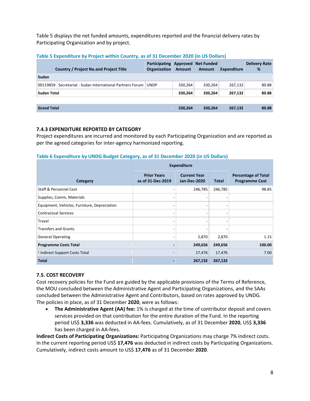Table 5 displays the net funded amounts, expenditures reported and the financial delivery rates by Participating Organization and by project.

|                    | <b>Country / Project No.and Project Title</b>    | Participating Approved Net Funded<br>Organization | <b>Amount</b> | Amount  | <b>Expenditure</b> | <b>Delivery Rate</b><br>% |
|--------------------|--------------------------------------------------|---------------------------------------------------|---------------|---------|--------------------|---------------------------|
| Sudan              |                                                  |                                                   |               |         |                    |                           |
| 00119859           | Secretariat - Sudan International Partners Forum | <b>UNDP</b>                                       | 330,264       | 330,264 | 267,132            | 80.88                     |
| Sudan Total        |                                                  |                                                   | 330,264       | 330,264 | 267,132            | 80.88                     |
|                    |                                                  |                                                   |               |         |                    |                           |
| <b>Grand Total</b> |                                                  |                                                   | 330,264       | 330,264 | 267,132            | 80.88                     |

# **7.4.3 EXPENDITURE REPORTED BY CATEGORY**

Project expenditures are incurred and monitored by each Participating Organization and are reported as per the agreed categories for inter‐agency harmonized reporting.

# **Table 6 Expenditure by UNDG Budget Category, as of 31 December 2020 (in US Dollars)**

|                                              | <b>Expenditure</b>                      |                                            |                          |                                                     |
|----------------------------------------------|-----------------------------------------|--------------------------------------------|--------------------------|-----------------------------------------------------|
| Category                                     | <b>Prior Years</b><br>as of 31-Dec-2019 | <b>Current Year</b><br><b>Jan-Dec-2020</b> | <b>Total</b>             | <b>Percentage of Total</b><br><b>Programme Cost</b> |
| <b>Staff &amp; Personnel Cost</b>            |                                         | 246,785                                    | 246,785                  | 98.85                                               |
| Supplies, Comm, Materials                    | -                                       |                                            | $\overline{\phantom{a}}$ |                                                     |
| Equipment, Vehicles, Furniture, Depreciation | $\qquad \qquad$                         |                                            | -                        |                                                     |
| <b>Contractual Services</b>                  |                                         |                                            |                          |                                                     |
| Travel                                       |                                         |                                            |                          |                                                     |
| <b>Transfers and Grants</b>                  |                                         |                                            |                          |                                                     |
| <b>General Operating</b>                     |                                         | 2,870                                      | 2,870                    | 1.15                                                |
| <b>Programme Costs Total</b>                 |                                         | 249,656                                    | 249,656                  | 100.00                                              |
| <sup>1</sup> Indirect Support Costs Total    |                                         | 17,476                                     | 17,476                   | 7.00                                                |
| <b>Total</b>                                 |                                         | 267,132                                    | 267,132                  |                                                     |

# **7.5. COST RECOVERY**

Cost recovery policies for the Fund are guided by the applicable provisions of the Terms of Reference, the MOU concluded between the Administrative Agent and Participating Organizations, and the SAAs concluded between the Administrative Agent and Contributors, based on rates approved by UNDG. The policies in place, as of 31 December **2020**, were as follows:

 **The Administrative Agent (AA) fee:** 1% is charged at the time of contributor deposit and covers services provided on that contribution for the entire duration of the Fund. In the reporting period US\$ **3,336** was deducted in AA‐fees. Cumulatively, as of 31 December **2020**, US\$ **3,336** has been charged in AA‐fees.

**Indirect Costs of Participating Organizations:** Participating Organizations may charge 7% indirect costs. In the current reporting period US\$ **17,476** was deducted in indirect costs by Participating Organizations. Cumulatively, indirect costs amount to US\$ **17,476** as of 31 December **2020**.